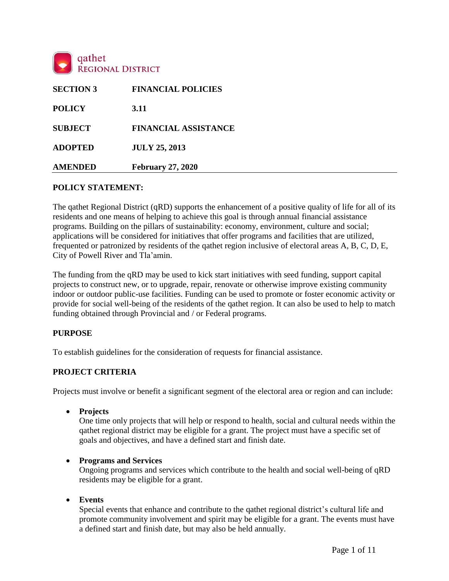

| <b>SECTION 3</b> | <b>FINANCIAL POLICIES</b>   |
|------------------|-----------------------------|
| <b>POLICY</b>    | 3.11                        |
| <b>SUBJECT</b>   | <b>FINANCIAL ASSISTANCE</b> |
| <b>ADOPTED</b>   | <b>JULY 25, 2013</b>        |
| <b>AMENDED</b>   | <b>February 27, 2020</b>    |

### **POLICY STATEMENT:**

The qathet Regional District (qRD) supports the enhancement of a positive quality of life for all of its residents and one means of helping to achieve this goal is through annual financial assistance programs. Building on the pillars of sustainability: economy, environment, culture and social; applications will be considered for initiatives that offer programs and facilities that are utilized, frequented or patronized by residents of the qathet region inclusive of electoral areas A, B, C, D, E, City of Powell River and Tla'amin.

The funding from the qRD may be used to kick start initiatives with seed funding, support capital projects to construct new, or to upgrade, repair, renovate or otherwise improve existing community indoor or outdoor public-use facilities. Funding can be used to promote or foster economic activity or provide for social well-being of the residents of the qathet region. It can also be used to help to match funding obtained through Provincial and / or Federal programs.

#### **PURPOSE**

To establish guidelines for the consideration of requests for financial assistance.

### **PROJECT CRITERIA**

Projects must involve or benefit a significant segment of the electoral area or region and can include:

**Projects**

One time only projects that will help or respond to health, social and cultural needs within the qathet regional district may be eligible for a grant. The project must have a specific set of goals and objectives, and have a defined start and finish date.

#### **Programs and Services**

Ongoing programs and services which contribute to the health and social well-being of qRD residents may be eligible for a grant.

**Events**

Special events that enhance and contribute to the qathet regional district's cultural life and promote community involvement and spirit may be eligible for a grant. The events must have a defined start and finish date, but may also be held annually.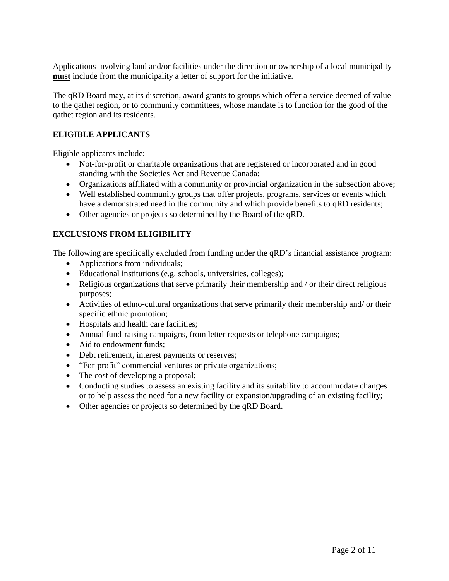Applications involving land and/or facilities under the direction or ownership of a local municipality **must** include from the municipality a letter of support for the initiative.

The qRD Board may, at its discretion, award grants to groups which offer a service deemed of value to the qathet region, or to community committees, whose mandate is to function for the good of the qathet region and its residents.

# **ELIGIBLE APPLICANTS**

Eligible applicants include:

- Not-for-profit or charitable organizations that are registered or incorporated and in good standing with the Societies Act and Revenue Canada;
- Organizations affiliated with a community or provincial organization in the subsection above;
- Well established community groups that offer projects, programs, services or events which have a demonstrated need in the community and which provide benefits to qRD residents;
- Other agencies or projects so determined by the Board of the qRD.

# **EXCLUSIONS FROM ELIGIBILITY**

The following are specifically excluded from funding under the qRD's financial assistance program:

- Applications from individuals;
- Educational institutions (e.g. schools, universities, colleges);
- Religious organizations that serve primarily their membership and / or their direct religious purposes;
- Activities of ethno-cultural organizations that serve primarily their membership and/ or their specific ethnic promotion;
- Hospitals and health care facilities;
- Annual fund-raising campaigns, from letter requests or telephone campaigns;
- Aid to endowment funds:
- Debt retirement, interest payments or reserves;
- "For-profit" commercial ventures or private organizations;
- The cost of developing a proposal;
- Conducting studies to assess an existing facility and its suitability to accommodate changes or to help assess the need for a new facility or expansion/upgrading of an existing facility;
- Other agencies or projects so determined by the qRD Board.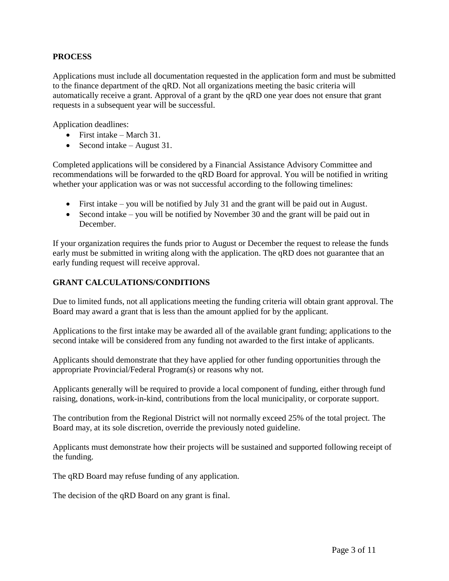# **PROCESS**

Applications must include all documentation requested in the application form and must be submitted to the finance department of the qRD. Not all organizations meeting the basic criteria will automatically receive a grant. Approval of a grant by the qRD one year does not ensure that grant requests in a subsequent year will be successful.

Application deadlines:

- First intake March 31.
- Second intake August 31.

Completed applications will be considered by a Financial Assistance Advisory Committee and recommendations will be forwarded to the qRD Board for approval. You will be notified in writing whether your application was or was not successful according to the following timelines:

- First intake you will be notified by July 31 and the grant will be paid out in August.
- Second intake you will be notified by November 30 and the grant will be paid out in December.

If your organization requires the funds prior to August or December the request to release the funds early must be submitted in writing along with the application. The qRD does not guarantee that an early funding request will receive approval.

# **GRANT CALCULATIONS/CONDITIONS**

Due to limited funds, not all applications meeting the funding criteria will obtain grant approval. The Board may award a grant that is less than the amount applied for by the applicant.

Applications to the first intake may be awarded all of the available grant funding; applications to the second intake will be considered from any funding not awarded to the first intake of applicants.

Applicants should demonstrate that they have applied for other funding opportunities through the appropriate Provincial/Federal Program(s) or reasons why not.

Applicants generally will be required to provide a local component of funding, either through fund raising, donations, work-in-kind, contributions from the local municipality, or corporate support.

The contribution from the Regional District will not normally exceed 25% of the total project. The Board may, at its sole discretion, override the previously noted guideline.

Applicants must demonstrate how their projects will be sustained and supported following receipt of the funding.

The qRD Board may refuse funding of any application.

The decision of the qRD Board on any grant is final.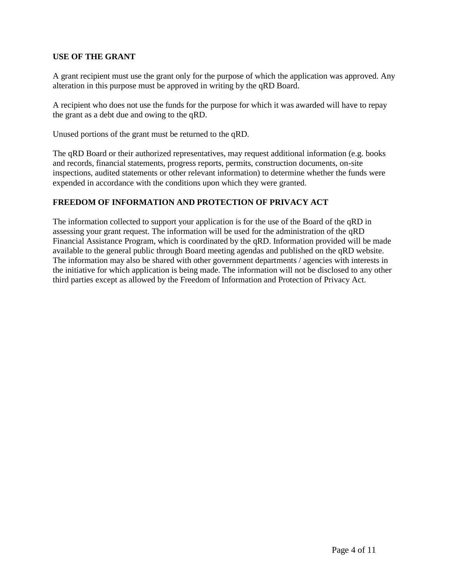# **USE OF THE GRANT**

A grant recipient must use the grant only for the purpose of which the application was approved. Any alteration in this purpose must be approved in writing by the qRD Board.

A recipient who does not use the funds for the purpose for which it was awarded will have to repay the grant as a debt due and owing to the qRD.

Unused portions of the grant must be returned to the qRD.

The qRD Board or their authorized representatives, may request additional information (e.g. books and records, financial statements, progress reports, permits, construction documents, on-site inspections, audited statements or other relevant information) to determine whether the funds were expended in accordance with the conditions upon which they were granted.

# **FREEDOM OF INFORMATION AND PROTECTION OF PRIVACY ACT**

The information collected to support your application is for the use of the Board of the qRD in assessing your grant request. The information will be used for the administration of the qRD Financial Assistance Program, which is coordinated by the qRD. Information provided will be made available to the general public through Board meeting agendas and published on the qRD website. The information may also be shared with other government departments / agencies with interests in the initiative for which application is being made. The information will not be disclosed to any other third parties except as allowed by the Freedom of Information and Protection of Privacy Act.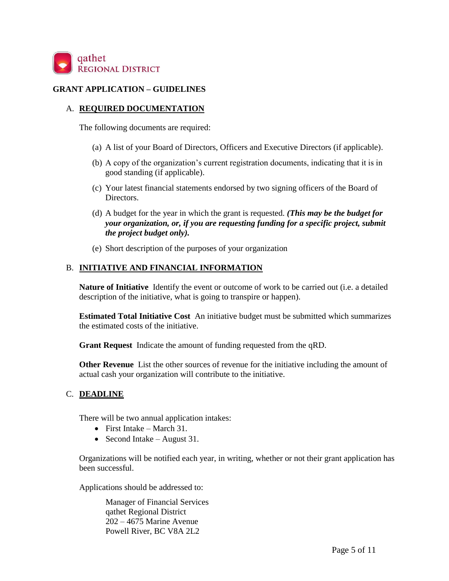

#### **GRANT APPLICATION – GUIDELINES**

#### A. **REQUIRED DOCUMENTATION**

The following documents are required:

- (a) A list of your Board of Directors, Officers and Executive Directors (if applicable).
- (b) A copy of the organization's current registration documents, indicating that it is in good standing (if applicable).
- (c) Your latest financial statements endorsed by two signing officers of the Board of Directors.
- (d) A budget for the year in which the grant is requested. *(This may be the budget for your organization, or, if you are requesting funding for a specific project, submit the project budget only).*
- (e) Short description of the purposes of your organization

#### B. **INITIATIVE AND FINANCIAL INFORMATION**

**Nature of Initiative** Identify the event or outcome of work to be carried out (i.e. a detailed description of the initiative, what is going to transpire or happen).

**Estimated Total Initiative Cost** An initiative budget must be submitted which summarizes the estimated costs of the initiative.

**Grant Request** Indicate the amount of funding requested from the qRD.

**Other Revenue** List the other sources of revenue for the initiative including the amount of actual cash your organization will contribute to the initiative.

#### C. **DEADLINE**

There will be two annual application intakes:

- First Intake March 31.
- Second Intake August 31.

Organizations will be notified each year, in writing, whether or not their grant application has been successful.

Applications should be addressed to:

Manager of Financial Services qathet Regional District 202 – 4675 Marine Avenue Powell River, BC V8A 2L2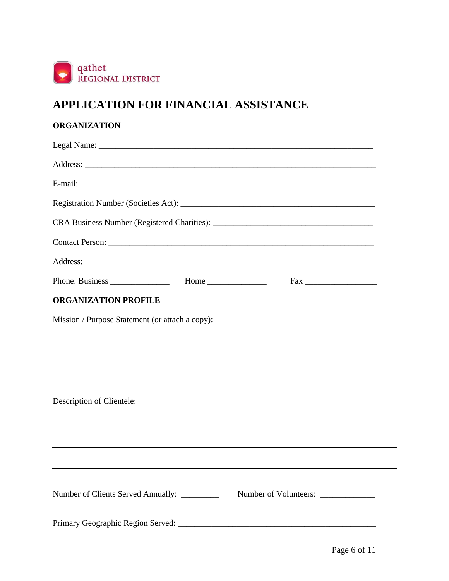

# **APPLICATION FOR FINANCIAL ASSISTANCE**

# **ORGANIZATION**

| <b>ORGANIZATION PROFILE</b>                                                      |                       |  |  |  |  |  |  |
|----------------------------------------------------------------------------------|-----------------------|--|--|--|--|--|--|
| Mission / Purpose Statement (or attach a copy):                                  |                       |  |  |  |  |  |  |
|                                                                                  |                       |  |  |  |  |  |  |
| ,我们也不会有什么。""我们的人,我们也不会有什么?""我们的人,我们也不会有什么?""我们的人,我们也不会有什么?""我们的人,我们也不会有什么?""我们的人 |                       |  |  |  |  |  |  |
|                                                                                  |                       |  |  |  |  |  |  |
| Description of Clientele:                                                        |                       |  |  |  |  |  |  |
|                                                                                  |                       |  |  |  |  |  |  |
|                                                                                  |                       |  |  |  |  |  |  |
|                                                                                  |                       |  |  |  |  |  |  |
|                                                                                  |                       |  |  |  |  |  |  |
| Number of Clients Served Annually: _________                                     | Number of Volunteers: |  |  |  |  |  |  |
|                                                                                  |                       |  |  |  |  |  |  |
|                                                                                  |                       |  |  |  |  |  |  |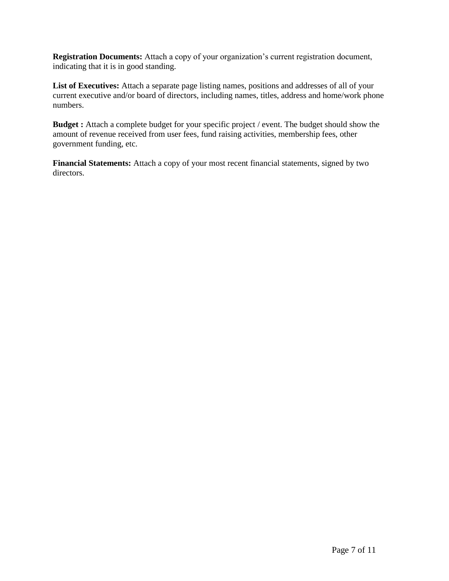**Registration Documents:** Attach a copy of your organization's current registration document, indicating that it is in good standing.

**List of Executives:** Attach a separate page listing names, positions and addresses of all of your current executive and/or board of directors, including names, titles, address and home/work phone numbers.

**Budget :** Attach a complete budget for your specific project / event. The budget should show the amount of revenue received from user fees, fund raising activities, membership fees, other government funding, etc.

**Financial Statements:** Attach a copy of your most recent financial statements, signed by two directors.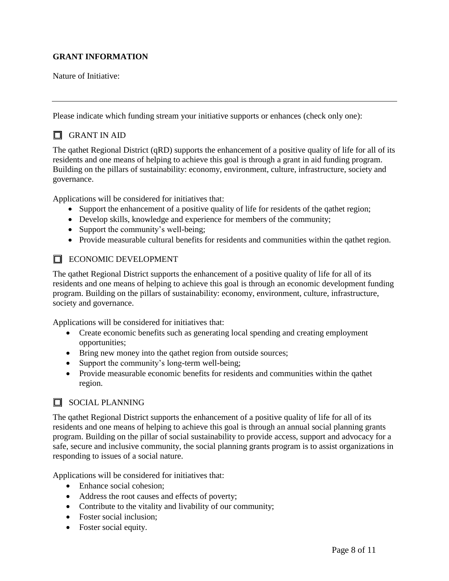# **GRANT INFORMATION**

Nature of Initiative:

Please indicate which funding stream your initiative supports or enhances (check only one):

# **O** GRANT IN AID

The qathet Regional District (qRD) supports the enhancement of a positive quality of life for all of its residents and one means of helping to achieve this goal is through a grant in aid funding program. Building on the pillars of sustainability: economy, environment, culture, infrastructure, society and governance.

Applications will be considered for initiatives that:

- Support the enhancement of a positive quality of life for residents of the qathet region;
- Develop skills, knowledge and experience for members of the community;
- Support the community's well-being;
- Provide measurable cultural benefits for residents and communities within the qathet region.

# **ECONOMIC DEVELOPMENT**

The qathet Regional District supports the enhancement of a positive quality of life for all of its residents and one means of helping to achieve this goal is through an economic development funding program. Building on the pillars of sustainability: economy, environment, culture, infrastructure, society and governance.

Applications will be considered for initiatives that:

- Create economic benefits such as generating local spending and creating employment opportunities;
- Bring new money into the qathet region from outside sources;
- Support the community's long-term well-being;
- Provide measurable economic benefits for residents and communities within the qathet region.

# **NOCIAL PLANNING**

The qathet Regional District supports the enhancement of a positive quality of life for all of its residents and one means of helping to achieve this goal is through an annual social planning grants program. Building on the pillar of social sustainability to provide access, support and advocacy for a safe, secure and inclusive community, the social planning grants program is to assist organizations in responding to issues of a social nature.

Applications will be considered for initiatives that:

- Enhance social cohesion:
- Address the root causes and effects of poverty;
- Contribute to the vitality and livability of our community;
- Foster social inclusion;
- Foster social equity.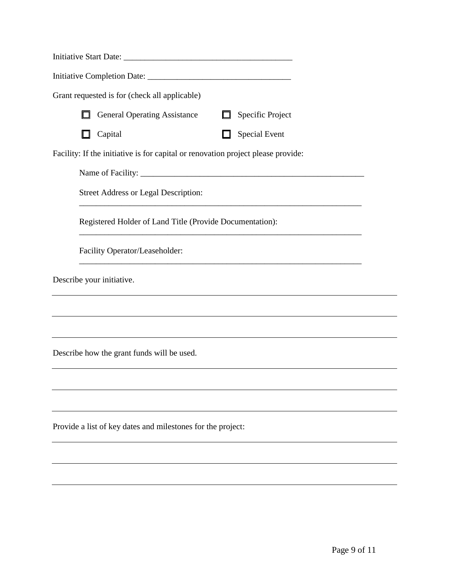|        | Grant requested is for (check all applicable)                                    |   |                                                             |  |
|--------|----------------------------------------------------------------------------------|---|-------------------------------------------------------------|--|
| $\Box$ | <b>General Operating Assistance</b>                                              | □ | Specific Project                                            |  |
|        | Capital                                                                          |   | <b>Special Event</b>                                        |  |
|        | Facility: If the initiative is for capital or renovation project please provide: |   |                                                             |  |
|        |                                                                                  |   |                                                             |  |
|        | <b>Street Address or Legal Description:</b>                                      |   | <u> 1989 - Johann Stoff, amerikansk politiker (d. 1989)</u> |  |
|        | Registered Holder of Land Title (Provide Documentation):                         |   |                                                             |  |
|        | Facility Operator/Leaseholder:                                                   |   |                                                             |  |
|        | Describe your initiative.                                                        |   |                                                             |  |
|        |                                                                                  |   |                                                             |  |
|        |                                                                                  |   |                                                             |  |
|        | Describe how the grant funds will be used.                                       |   |                                                             |  |
|        |                                                                                  |   |                                                             |  |
|        |                                                                                  |   |                                                             |  |
|        | Provide a list of key dates and milestones for the project:                      |   |                                                             |  |
|        |                                                                                  |   |                                                             |  |
|        |                                                                                  |   |                                                             |  |
|        |                                                                                  |   |                                                             |  |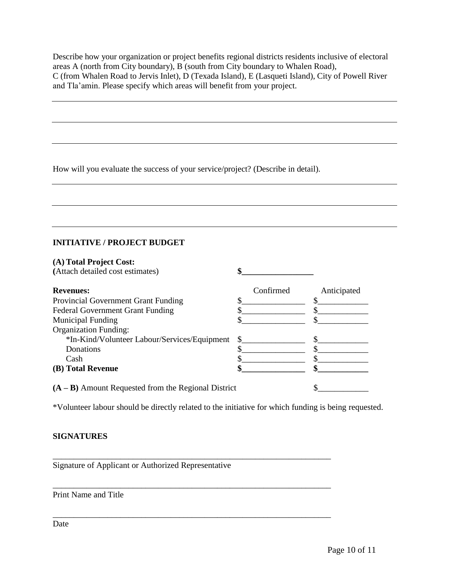Describe how your organization or project benefits regional districts residents inclusive of electoral areas A (north from City boundary), B (south from City boundary to Whalen Road), C (from Whalen Road to Jervis Inlet), D (Texada Island), E (Lasqueti Island), City of Powell River and Tla'amin. Please specify which areas will benefit from your project.

How will you evaluate the success of your service/project? (Describe in detail).

# **INITIATIVE / PROJECT BUDGET**

| (A) Total Project Cost:                               |           |             |
|-------------------------------------------------------|-----------|-------------|
| (Attach detailed cost estimates)                      |           |             |
| <b>Revenues:</b>                                      | Confirmed | Anticipated |
| <b>Provincial Government Grant Funding</b>            |           |             |
| <b>Federal Government Grant Funding</b>               |           |             |
| <b>Municipal Funding</b>                              |           |             |
| <b>Organization Funding:</b>                          |           |             |
| *In-Kind/Volunteer Labour/Services/Equipment          | \$.       |             |
| Donations                                             |           |             |
| Cash                                                  |           |             |
| (B) Total Revenue                                     |           |             |
| $(A - B)$ Amount Requested from the Regional District |           |             |

\*Volunteer labour should be directly related to the initiative for which funding is being requested.

\_\_\_\_\_\_\_\_\_\_\_\_\_\_\_\_\_\_\_\_\_\_\_\_\_\_\_\_\_\_\_\_\_\_\_\_\_\_\_\_\_\_\_\_\_\_\_\_\_\_\_\_\_\_\_\_\_\_\_\_\_\_\_\_\_\_

\_\_\_\_\_\_\_\_\_\_\_\_\_\_\_\_\_\_\_\_\_\_\_\_\_\_\_\_\_\_\_\_\_\_\_\_\_\_\_\_\_\_\_\_\_\_\_\_\_\_\_\_\_\_\_\_\_\_\_\_\_\_\_\_\_\_

\_\_\_\_\_\_\_\_\_\_\_\_\_\_\_\_\_\_\_\_\_\_\_\_\_\_\_\_\_\_\_\_\_\_\_\_\_\_\_\_\_\_\_\_\_\_\_\_\_\_\_\_\_\_\_\_\_\_\_\_\_\_\_\_\_\_

# **SIGNATURES**

Signature of Applicant or Authorized Representative

Print Name and Title

Date